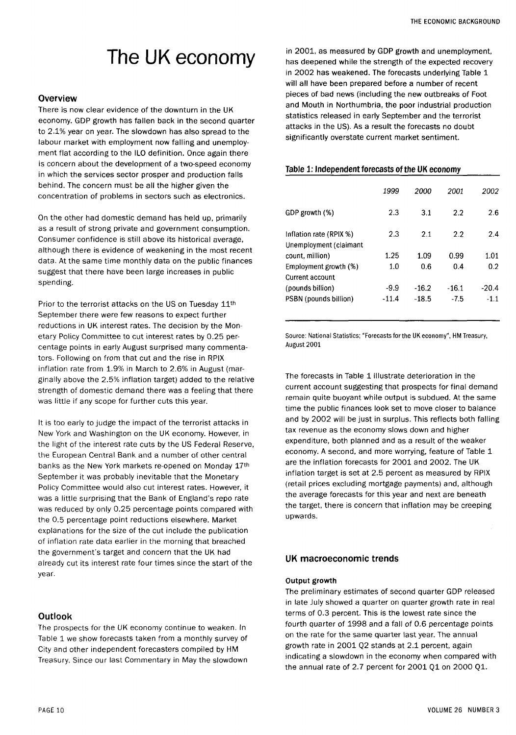# The UK economy

## **Overview**

There is now clear evidence of the downturn in the UK economy. GDP growth has fallen back in the second quarter to 2.1% year on year. The slowdown has also spread to the labour market with employment now falling and unemployment flat according to the ILO definition. Once again there is concern about the development of a two-speed economy in which the services sector prosper and production falls behind. The concern must be all the higher given the concentration of problems in sectors such as electronics.

On the other had domestic demand has held up, primarily as a result of strong private and government consumption. Consumer confidence is still above its historical average, although there is evidence of weakening in the most recent data. At the same time monthly data on the public finances suggest that there have been large increases in public spending.

Prior to the terrorist attacks on the US on Tuesday 11<sup>th</sup> September there were few reasons to expect further reductions in UK interest rates. The decision by the Monetary Policy Committee to cut interest rates by 0.25 percentage points in early August surprised many commentators. Following on from that cut and the rise in RPIX inflation rate from 1.9% in March to 2.6% in August (marginally above the 2.5% inflation target) added to the relative strength of domestic demand there was a feeling that there was little if any scope for further cuts this year.

It is too early to judge the impact of the terrorist attacks in New York and Washington on the UK economy. However, in the light of the interest rate cuts by the US Federal Reserve, the European Central Bank and a number of other central banks as the New York markets re-opened on Monday 17th September it was probably inevitable that the Monetary Policy Committee would also cut interest rates. However, it was a little surprising that the Bank of England's repo rate was reduced by only 0.25 percentage points compared with the 0.5 percentage point reductions elsewhere. Market explanations for the size of the cut include the publication of inflation rate data earlier in the morning that breached the government's target and concern that the UK had already cut its interest rate four times since the start of the year.

# **Outlook**

The prospects for the UK economy continue to weaken. In Table 1 we show forecasts taken from a monthly survey of City and other independent forecasters compiled by HM Treasury. Since our last Commentary in May the slowdown

in 2001, as measured by GDP growth and unemployment, has deepened while the strength of the expected recovery in 2002 has weakened. The forecasts underlying Table 1 will all have been prepared before a number of recent pieces of bad news (including the new outbreaks of Foot and Mouth in Northumbria, the poor industrial production statistics released in early September and the terrorist attacks in the US). As a result the forecasts no doubt significantly overstate current market sentiment.

### Table 1: Independent forecasts of the UK economy

|                                                   | 1999    | 2000    | 2001    | 2002    |
|---------------------------------------------------|---------|---------|---------|---------|
| GDP growth (%)                                    | 2.3     | 3.1     | 2.2     | 2.6     |
| Inflation rate (RPIX %)<br>Unemployment (claimant | 2.3     | 2.1     | 2.2     | 2.4     |
| count, million)                                   | 1.25    | 1.09    | 0.99    | 1.01    |
| Employment growth (%)                             | 1.0     | 0.6     | 0.4     | 0.2     |
| Current account                                   |         |         |         |         |
| (pounds billion)                                  | -9.9    | $-16.2$ | $-16.1$ | $-20.4$ |
| PSBN (pounds billion)                             | $-11.4$ | $-18.5$ | $-7.5$  | $-1.1$  |
|                                                   |         |         |         |         |

Source: National Statistics; "Forecasts for the UK economy", HM Treasury, August 2001

The forecasts in Table 1 illustrate deterioration in the current account suggesting that prospects for final demand remain quite buoyant while output is subdued. At the same time the public finances look set to move closer to balance and by 2002 will be just in surplus. This reflects both falling tax revenue as the economy slows down and higher expenditure, both planned and as a result of the weaker economy. A second, and more worrying, feature of Table 1 are the inflation forecasts for 2001 and 2002. The UK inflation target is set at 2.5 percent as measured by RPIX (retail prices excluding mortgage payments) and, although the average forecasts for this year and next are beneath the target, there is concern that inflation may be creeping upwards.

# UK macroeconomic trends

### **Output growth**

The preliminary estimates of second quarter GDP released in late July showed a quarter on quarter growth rate in real terms of 0.3 percent. This is the lowest rate since the fourth quarter of 1998 and a fall of 0.6 percentage points on the rate for the same quarter last year. The annual growth rate in 2001 Q2 stands at 2.1 percent, again indicating a slowdown in the economy when compared with the annual rate of 2.7 percent for  $2001$  Q1 on  $2000$  Q1.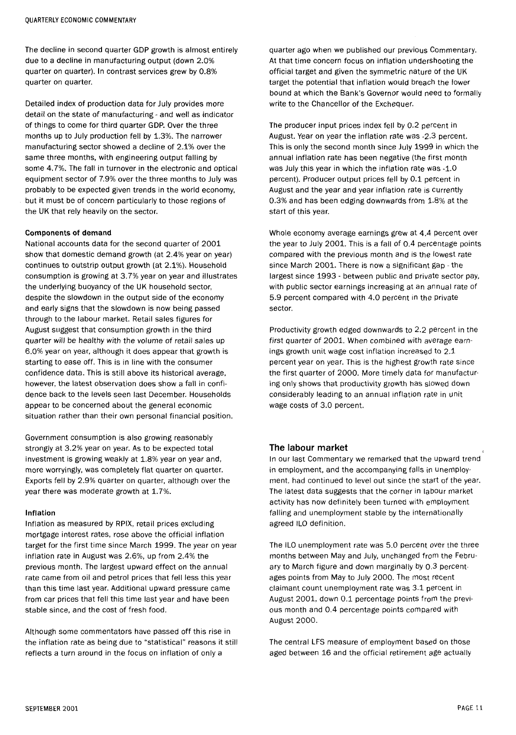The decline in second quarter GDP growth is almost entirely due to a decline in manufacturing output (down 2.0% quarter on quarter). In contrast services grew by 0.8% quarter on quarter.

Detailed index of production data for July provides more detail on the state of manufacturing- and well as indicator of things to come for third quarter GDP. Over the three months up to July production fell by 1.3%. The narrower manufacturing sector showed a decline of 2.1% over the same three months, with engineering output falling by some 4.7%. The fall in turnover in the electronic and optical equipment sector of 7.9% over the three months to July was probably to be expected given trends in the world economy, but it must be of concern particularly to those regions of the UK that rely heavily on the sector.

#### **Components of demand**

National accounts data for the second quarter of 2001 show that domestic demand growth (at 2.4% year on year) continues to outstrip output growth (at 2.1%). Household consumption is growing at 3.7% year on year and illustrates the underlying buoyancy of the UK household sector, despite the slowdown in the output side of the economy and early signs that the slowdown is now being passed through to the labour market. Retail sales figures for August suggest that consumption growth in the third quarter will be healthy with the volume of retail sales up 6.0% year on year, although it does appear that growth is starting to ease off. This is in line with the consumer confidence data. This is still above its historical average, however, the latest observation does show a fall in confidence back to the levels seen last December. Households appear to be concerned about the general economic situation rather than their own personal financial position.

Government consumption is also growing reasonably strongly at 3.2% year on year. As to be expected total investment is growing weakly at 1.8% year on year and, more worryingly, was completely flat quarter on quarter. Exports fell by 2.9% quarter on quarter, although over the year there was moderate growth at 1.7%.

#### **Inflation**

Inflation as measured by RPIX, retail prices excluding mortgage interest rates, rose above the official inflation target for the first time since March 1999. The year on year inflation rate in August was 2.6%, up from 2.4% the previous month. The largest upward effect on the annual rate came from oil and petrol prices that fell less this year than this time last year. Additional upward pressure came from car prices that fell this time last year and have been stable since, and the cost of fresh food.

Although some commentators have passed off this rise in the inflation rate as being due to "statistical" reasons it still reflects a turn around in the focus on inflation of only a

quarter ago when we published our previous Commentary. At that time concern focus on inflation undershooting the official target and given the symmetric nature of the UK target the potential that inflation would breach the lower bound at which the Bank's Governor would need to formally write to the Chancellor of the Exchequer.

The producer input prices index fell by 0.2 percent in August. Year on year the inflation rate was -2-3 percent. This is only the second month since July 1999 in which the annual inflation rate has been negative (the first month was July this year in which the inflation rate was -1.0 percent). Producer output prices fell by 0.1 percent in August and the year and year inflation rate is currently 0.3% and has been edging downwards from 1-8% at the start of this year.

Whole economy average earnings grew at 4.4 percent over the year to July 2001. This is a fall of 0.4 percentage points compared with the previous month and is the lowest rate since March 2001. There is now a significant gap - the largest since 1993 - between public and private sector pay, with public sector earnings increasing at an annual rate of 5.9 percent compared with 4.0 percent in the private sector.

Productivity growth edged downwards to 2.2 percent in the first quarter of 2001. When combined with average earnings growth unit wage cost inflation increased to 2.1 percent year on year. This is the highest growth rate since the first quarter of 2000. More timely data for manufacturing only shows that productivity growth has slowed down considerably leading to an annual inflation rate in unit wage costs of 3.0 percent.

### The labour market

In our last Commentary we remarked that the upward trend in employment, and the accompanying falls in unemployment, had continued to level out since the start of the year. The latest data suggests that the corner in labour market activity has now definitely been turned with employment falling and unemployment stable by the internationally agreed ILO definition.

The ILO unemployment rate was 5.0 percent over the three months between May and July, unchanged from the February to March figure and down marginally by 0.3 percentages points from May to July 2000. The most recent claimant count unemployment rate was 3.1 percent in August 2001, down 0.1 percentage points from the previous month and 0.4 percentage points compared with August 2000 .

The central LFS measure of employment based on those aged between 16 and the official retirement age actually